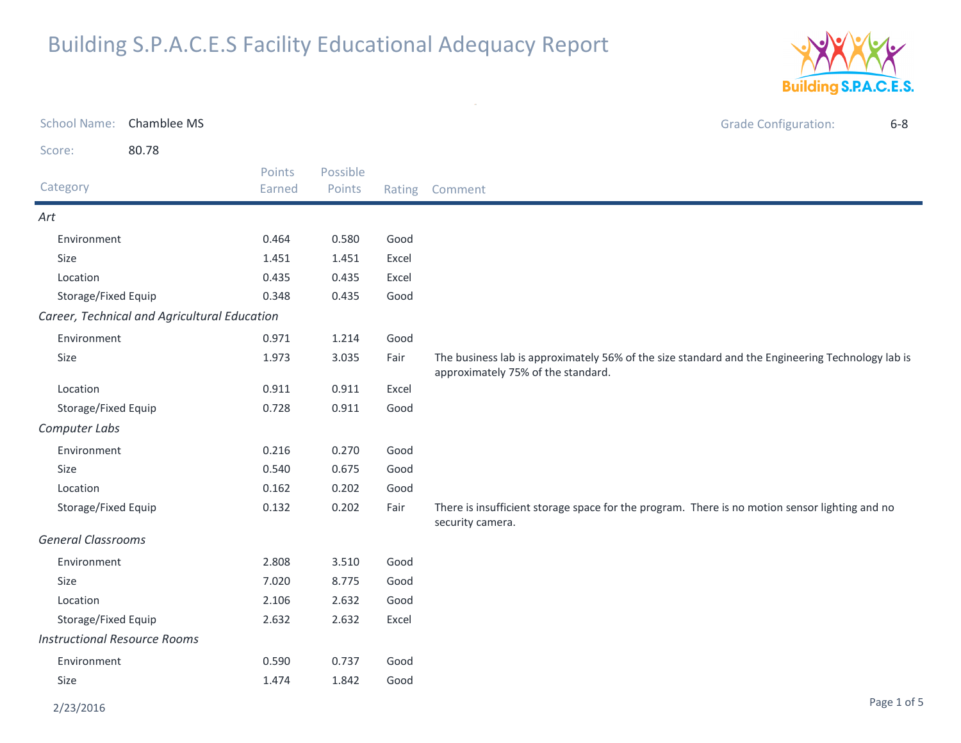

|                                     | School Name: Chamblee MS                     |        |          |       | <b>Grade Configuration:</b><br>$6 - 8$                                                                                                 |
|-------------------------------------|----------------------------------------------|--------|----------|-------|----------------------------------------------------------------------------------------------------------------------------------------|
| Score:                              | 80.78                                        |        |          |       |                                                                                                                                        |
|                                     |                                              | Points | Possible |       |                                                                                                                                        |
| Category                            |                                              | Earned | Points   |       | Rating Comment                                                                                                                         |
| Art                                 |                                              |        |          |       |                                                                                                                                        |
| Environment                         |                                              | 0.464  | 0.580    | Good  |                                                                                                                                        |
| Size                                |                                              | 1.451  | 1.451    | Excel |                                                                                                                                        |
| Location                            |                                              | 0.435  | 0.435    | Excel |                                                                                                                                        |
| Storage/Fixed Equip                 |                                              | 0.348  | 0.435    | Good  |                                                                                                                                        |
|                                     | Career, Technical and Agricultural Education |        |          |       |                                                                                                                                        |
| Environment                         |                                              | 0.971  | 1.214    | Good  |                                                                                                                                        |
| Size                                |                                              | 1.973  | 3.035    | Fair  | The business lab is approximately 56% of the size standard and the Engineering Technology lab is<br>approximately 75% of the standard. |
| Location                            |                                              | 0.911  | 0.911    | Excel |                                                                                                                                        |
| Storage/Fixed Equip                 |                                              | 0.728  | 0.911    | Good  |                                                                                                                                        |
| Computer Labs                       |                                              |        |          |       |                                                                                                                                        |
| Environment                         |                                              | 0.216  | 0.270    | Good  |                                                                                                                                        |
| Size                                |                                              | 0.540  | 0.675    | Good  |                                                                                                                                        |
| Location                            |                                              | 0.162  | 0.202    | Good  |                                                                                                                                        |
| Storage/Fixed Equip                 |                                              | 0.132  | 0.202    | Fair  | There is insufficient storage space for the program. There is no motion sensor lighting and no<br>security camera.                     |
| <b>General Classrooms</b>           |                                              |        |          |       |                                                                                                                                        |
| Environment                         |                                              | 2.808  | 3.510    | Good  |                                                                                                                                        |
| Size                                |                                              | 7.020  | 8.775    | Good  |                                                                                                                                        |
| Location                            |                                              | 2.106  | 2.632    | Good  |                                                                                                                                        |
| Storage/Fixed Equip                 |                                              | 2.632  | 2.632    | Excel |                                                                                                                                        |
| <b>Instructional Resource Rooms</b> |                                              |        |          |       |                                                                                                                                        |
| Environment                         |                                              | 0.590  | 0.737    | Good  |                                                                                                                                        |
| Size                                |                                              | 1.474  | 1.842    | Good  |                                                                                                                                        |
|                                     |                                              |        |          |       |                                                                                                                                        |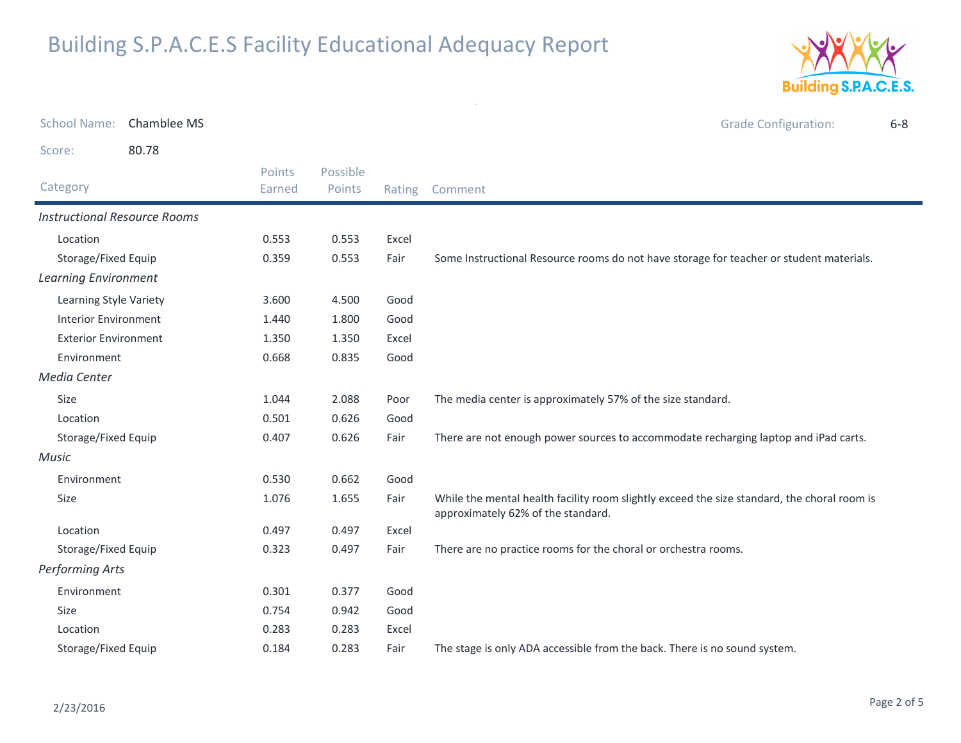

| <b>School Name:</b>                 | Chamblee MS |                  |                    |        | <b>Grade Configuration:</b>                                                                                                       | $6 - 8$ |
|-------------------------------------|-------------|------------------|--------------------|--------|-----------------------------------------------------------------------------------------------------------------------------------|---------|
| Score:                              | 80.78       |                  |                    |        |                                                                                                                                   |         |
| Category                            |             | Points<br>Earned | Possible<br>Points | Rating | Comment                                                                                                                           |         |
| <b>Instructional Resource Rooms</b> |             |                  |                    |        |                                                                                                                                   |         |
| Location                            |             | 0.553            | 0.553              | Excel  |                                                                                                                                   |         |
| Storage/Fixed Equip                 |             | 0.359            | 0.553              | Fair   | Some Instructional Resource rooms do not have storage for teacher or student materials.                                           |         |
| <b>Learning Environment</b>         |             |                  |                    |        |                                                                                                                                   |         |
| Learning Style Variety              |             | 3.600            | 4.500              | Good   |                                                                                                                                   |         |
| <b>Interior Environment</b>         |             | 1.440            | 1.800              | Good   |                                                                                                                                   |         |
| <b>Exterior Environment</b>         |             | 1.350            | 1.350              | Excel  |                                                                                                                                   |         |
| Environment                         |             | 0.668            | 0.835              | Good   |                                                                                                                                   |         |
| Media Center                        |             |                  |                    |        |                                                                                                                                   |         |
| Size                                |             | 1.044            | 2.088              | Poor   | The media center is approximately 57% of the size standard.                                                                       |         |
| Location                            |             | 0.501            | 0.626              | Good   |                                                                                                                                   |         |
| Storage/Fixed Equip                 |             | 0.407            | 0.626              | Fair   | There are not enough power sources to accommodate recharging laptop and iPad carts.                                               |         |
| Music                               |             |                  |                    |        |                                                                                                                                   |         |
| Environment                         |             | 0.530            | 0.662              | Good   |                                                                                                                                   |         |
| Size                                |             | 1.076            | 1.655              | Fair   | While the mental health facility room slightly exceed the size standard, the choral room is<br>approximately 62% of the standard. |         |
| Location                            |             | 0.497            | 0.497              | Excel  |                                                                                                                                   |         |
| Storage/Fixed Equip                 |             | 0.323            | 0.497              | Fair   | There are no practice rooms for the choral or orchestra rooms.                                                                    |         |
| <b>Performing Arts</b>              |             |                  |                    |        |                                                                                                                                   |         |
| Environment                         |             | 0.301            | 0.377              | Good   |                                                                                                                                   |         |
| Size                                |             | 0.754            | 0.942              | Good   |                                                                                                                                   |         |
| Location                            |             | 0.283            | 0.283              | Excel  |                                                                                                                                   |         |
| Storage/Fixed Equip                 |             | 0.184            | 0.283              | Fair   | The stage is only ADA accessible from the back. There is no sound system.                                                         |         |

 $\sim$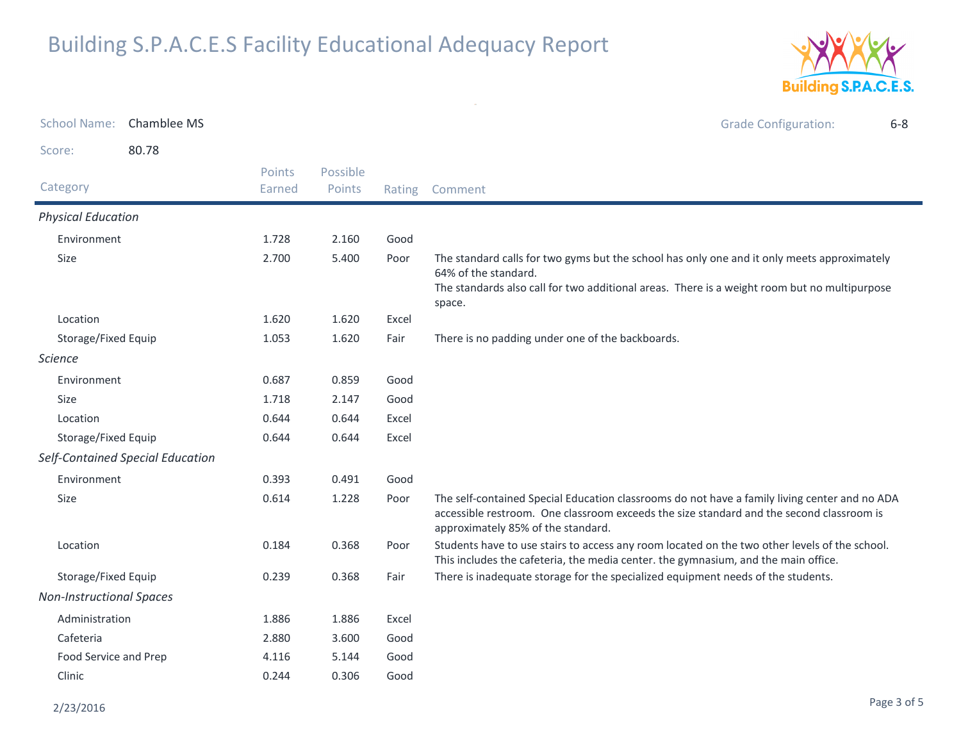

|                                 | School Name: Chamblee MS         |                  |                    |        | <b>Grade Configuration:</b><br>$6 - 8$                                                                                                                                                                                          |
|---------------------------------|----------------------------------|------------------|--------------------|--------|---------------------------------------------------------------------------------------------------------------------------------------------------------------------------------------------------------------------------------|
| Score:                          | 80.78                            |                  |                    |        |                                                                                                                                                                                                                                 |
| Category                        |                                  | Points<br>Earned | Possible<br>Points | Rating | Comment                                                                                                                                                                                                                         |
| <b>Physical Education</b>       |                                  |                  |                    |        |                                                                                                                                                                                                                                 |
| Environment                     |                                  | 1.728            | 2.160              | Good   |                                                                                                                                                                                                                                 |
| Size                            |                                  | 2.700            | 5.400              | Poor   | The standard calls for two gyms but the school has only one and it only meets approximately<br>64% of the standard.<br>The standards also call for two additional areas. There is a weight room but no multipurpose<br>space.   |
| Location                        |                                  | 1.620            | 1.620              | Excel  |                                                                                                                                                                                                                                 |
| Storage/Fixed Equip             |                                  | 1.053            | 1.620              | Fair   | There is no padding under one of the backboards.                                                                                                                                                                                |
| <b>Science</b>                  |                                  |                  |                    |        |                                                                                                                                                                                                                                 |
| Environment                     |                                  | 0.687            | 0.859              | Good   |                                                                                                                                                                                                                                 |
| <b>Size</b>                     |                                  | 1.718            | 2.147              | Good   |                                                                                                                                                                                                                                 |
| Location                        |                                  | 0.644            | 0.644              | Excel  |                                                                                                                                                                                                                                 |
| Storage/Fixed Equip             |                                  | 0.644            | 0.644              | Excel  |                                                                                                                                                                                                                                 |
|                                 | Self-Contained Special Education |                  |                    |        |                                                                                                                                                                                                                                 |
| Environment                     |                                  | 0.393            | 0.491              | Good   |                                                                                                                                                                                                                                 |
| Size                            |                                  | 0.614            | 1.228              | Poor   | The self-contained Special Education classrooms do not have a family living center and no ADA<br>accessible restroom. One classroom exceeds the size standard and the second classroom is<br>approximately 85% of the standard. |
| Location                        |                                  | 0.184            | 0.368              | Poor   | Students have to use stairs to access any room located on the two other levels of the school.<br>This includes the cafeteria, the media center. the gymnasium, and the main office.                                             |
| Storage/Fixed Equip             |                                  | 0.239            | 0.368              | Fair   | There is inadequate storage for the specialized equipment needs of the students.                                                                                                                                                |
| <b>Non-Instructional Spaces</b> |                                  |                  |                    |        |                                                                                                                                                                                                                                 |
| Administration                  |                                  | 1.886            | 1.886              | Excel  |                                                                                                                                                                                                                                 |
| Cafeteria                       |                                  | 2.880            | 3.600              | Good   |                                                                                                                                                                                                                                 |
| Food Service and Prep           |                                  | 4.116            | 5.144              | Good   |                                                                                                                                                                                                                                 |
| Clinic                          |                                  | 0.244            | 0.306              | Good   |                                                                                                                                                                                                                                 |

 $\sim$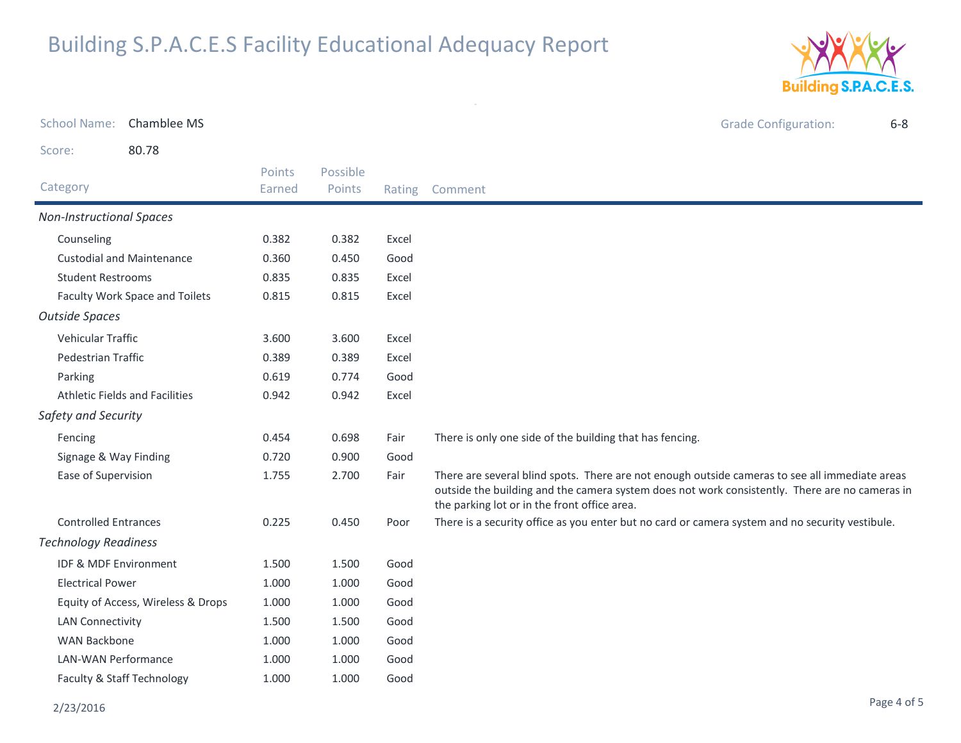

| <b>School Name:</b>              | Chamblee MS                           |        |          |        | <b>Grade Configuration:</b><br>$6 - 8$                                                                                                                                                                                                           |
|----------------------------------|---------------------------------------|--------|----------|--------|--------------------------------------------------------------------------------------------------------------------------------------------------------------------------------------------------------------------------------------------------|
| Score:                           | 80.78                                 |        |          |        |                                                                                                                                                                                                                                                  |
|                                  |                                       | Points | Possible |        |                                                                                                                                                                                                                                                  |
| Category                         |                                       | Earned | Points   | Rating | Comment                                                                                                                                                                                                                                          |
| <b>Non-Instructional Spaces</b>  |                                       |        |          |        |                                                                                                                                                                                                                                                  |
| Counseling                       |                                       | 0.382  | 0.382    | Excel  |                                                                                                                                                                                                                                                  |
|                                  | <b>Custodial and Maintenance</b>      | 0.360  | 0.450    | Good   |                                                                                                                                                                                                                                                  |
| <b>Student Restrooms</b>         |                                       | 0.835  | 0.835    | Excel  |                                                                                                                                                                                                                                                  |
|                                  | Faculty Work Space and Toilets        | 0.815  | 0.815    | Excel  |                                                                                                                                                                                                                                                  |
| <b>Outside Spaces</b>            |                                       |        |          |        |                                                                                                                                                                                                                                                  |
| Vehicular Traffic                |                                       | 3.600  | 3.600    | Excel  |                                                                                                                                                                                                                                                  |
| Pedestrian Traffic               |                                       | 0.389  | 0.389    | Excel  |                                                                                                                                                                                                                                                  |
| Parking                          |                                       | 0.619  | 0.774    | Good   |                                                                                                                                                                                                                                                  |
|                                  | <b>Athletic Fields and Facilities</b> | 0.942  | 0.942    | Excel  |                                                                                                                                                                                                                                                  |
| Safety and Security              |                                       |        |          |        |                                                                                                                                                                                                                                                  |
| Fencing                          |                                       | 0.454  | 0.698    | Fair   | There is only one side of the building that has fencing.                                                                                                                                                                                         |
| Signage & Way Finding            |                                       | 0.720  | 0.900    | Good   |                                                                                                                                                                                                                                                  |
| Ease of Supervision              |                                       | 1.755  | 2.700    | Fair   | There are several blind spots. There are not enough outside cameras to see all immediate areas<br>outside the building and the camera system does not work consistently. There are no cameras in<br>the parking lot or in the front office area. |
| <b>Controlled Entrances</b>      |                                       | 0.225  | 0.450    | Poor   | There is a security office as you enter but no card or camera system and no security vestibule.                                                                                                                                                  |
| <b>Technology Readiness</b>      |                                       |        |          |        |                                                                                                                                                                                                                                                  |
| <b>IDF &amp; MDF Environment</b> |                                       | 1.500  | 1.500    | Good   |                                                                                                                                                                                                                                                  |
| <b>Electrical Power</b>          |                                       | 1.000  | 1.000    | Good   |                                                                                                                                                                                                                                                  |
|                                  | Equity of Access, Wireless & Drops    | 1.000  | 1.000    | Good   |                                                                                                                                                                                                                                                  |
| <b>LAN Connectivity</b>          |                                       | 1.500  | 1.500    | Good   |                                                                                                                                                                                                                                                  |
| <b>WAN Backbone</b>              |                                       | 1.000  | 1.000    | Good   |                                                                                                                                                                                                                                                  |
| <b>LAN-WAN Performance</b>       |                                       | 1.000  | 1.000    | Good   |                                                                                                                                                                                                                                                  |
|                                  | Faculty & Staff Technology            | 1.000  | 1.000    | Good   |                                                                                                                                                                                                                                                  |